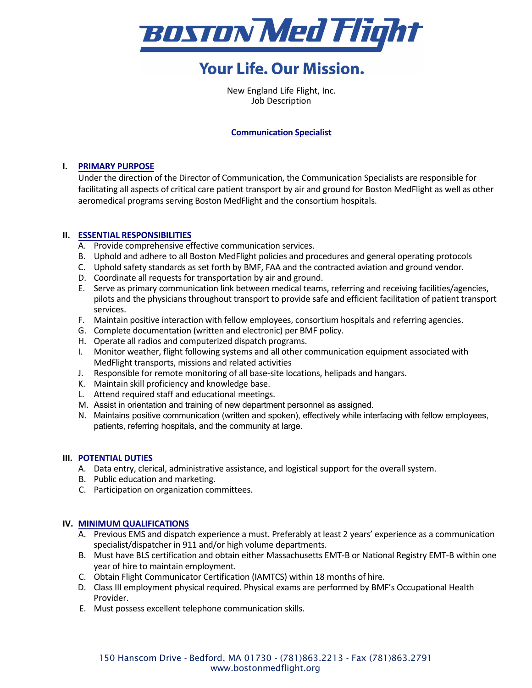

# **Your Life. Our Mission.**

New England Life Flight, Inc. Job Description

### **Communication Specialist**

# **I. PRIMARY PURPOSE**

Under the direction of the Director of Communication, the Communication Specialists are responsible for facilitating all aspects of critical care patient transport by air and ground for Boston MedFlight as well as other aeromedical programs serving Boston MedFlight and the consortium hospitals.

# **II. ESSENTIAL RESPONSIBILITIES**

- A. Provide comprehensive effective communication services.
- B. Uphold and adhere to all Boston MedFlight policies and procedures and general operating protocols
- C. Uphold safety standards as set forth by BMF, FAA and the contracted aviation and ground vendor.
- D. Coordinate all requests for transportation by air and ground.
- E. Serve as primary communication link between medical teams, referring and receiving facilities/agencies, pilots and the physicians throughout transport to provide safe and efficient facilitation of patient transport services.
- F. Maintain positive interaction with fellow employees, consortium hospitals and referring agencies.
- G. Complete documentation (written and electronic) per BMF policy.
- H. Operate all radios and computerized dispatch programs.
- I. Monitor weather, flight following systems and all other communication equipment associated with MedFlight transports, missions and related activities
- J. Responsible for remote monitoring of all base-site locations, helipads and hangars.
- K. Maintain skill proficiency and knowledge base.
- L. Attend required staff and educational meetings.
- M. Assist in orientation and training of new department personnel as assigned.
- N. Maintains positive communication (written and spoken), effectively while interfacing with fellow employees, patients, referring hospitals, and the community at large.

#### **III. POTENTIAL DUTIES**

- A. Data entry, clerical, administrative assistance, and logistical support for the overall system.
- B. Public education and marketing.
- C. Participation on organization committees.

#### **IV. MINIMUM QUALIFICATIONS**

- A. Previous EMS and dispatch experience a must. Preferably at least 2 years' experience as a communication specialist/dispatcher in 911 and/or high volume departments.
- B. Must have BLS certification and obtain either Massachusetts EMT-B or National Registry EMT-B within one year of hire to maintain employment.
- C. Obtain Flight Communicator Certification (IAMTCS) within 18 months of hire.
- D. Class III employment physical required. Physical exams are performed by BMF's Occupational Health Provider.
- E. Must possess excellent telephone communication skills.